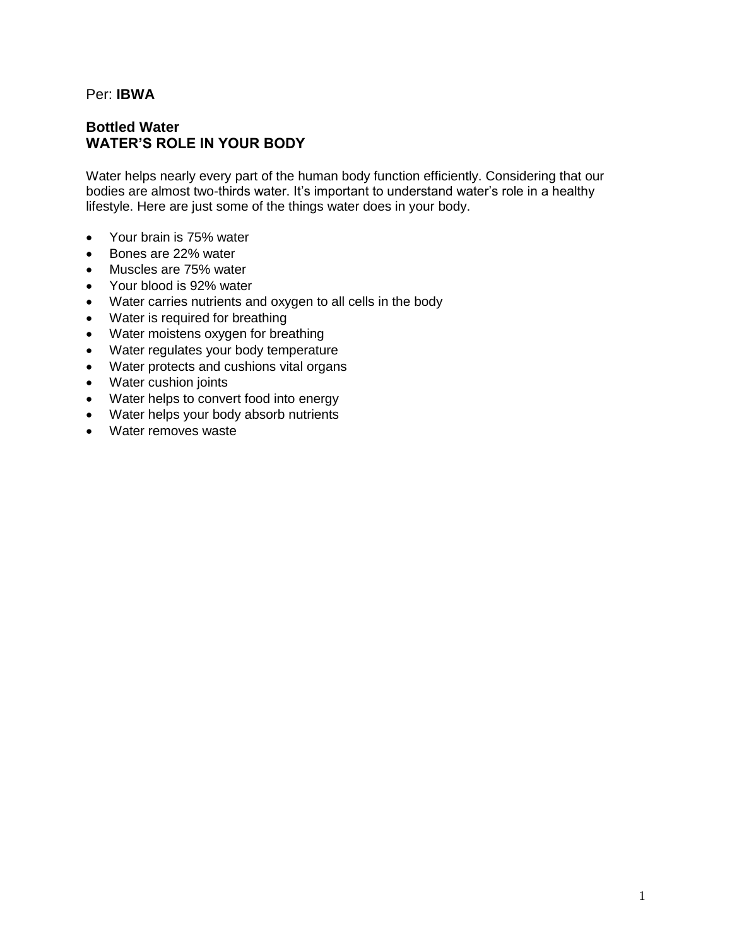## Per: **IBWA**

# **Bottled Water WATER'S ROLE IN YOUR BODY**

Water helps nearly every part of the human body function efficiently. Considering that our bodies are almost two-thirds water. It's important to understand water's role in a healthy lifestyle. Here are just some of the things water does in your body.

- Your brain is 75% water
- Bones are 22% water
- Muscles are 75% water
- Your blood is 92% water
- Water carries nutrients and oxygen to all cells in the body
- Water is required for breathing
- Water moistens oxygen for breathing
- Water regulates your body temperature
- Water protects and cushions vital organs
- Water cushion joints
- Water helps to convert food into energy
- Water helps your body absorb nutrients
- Water removes waste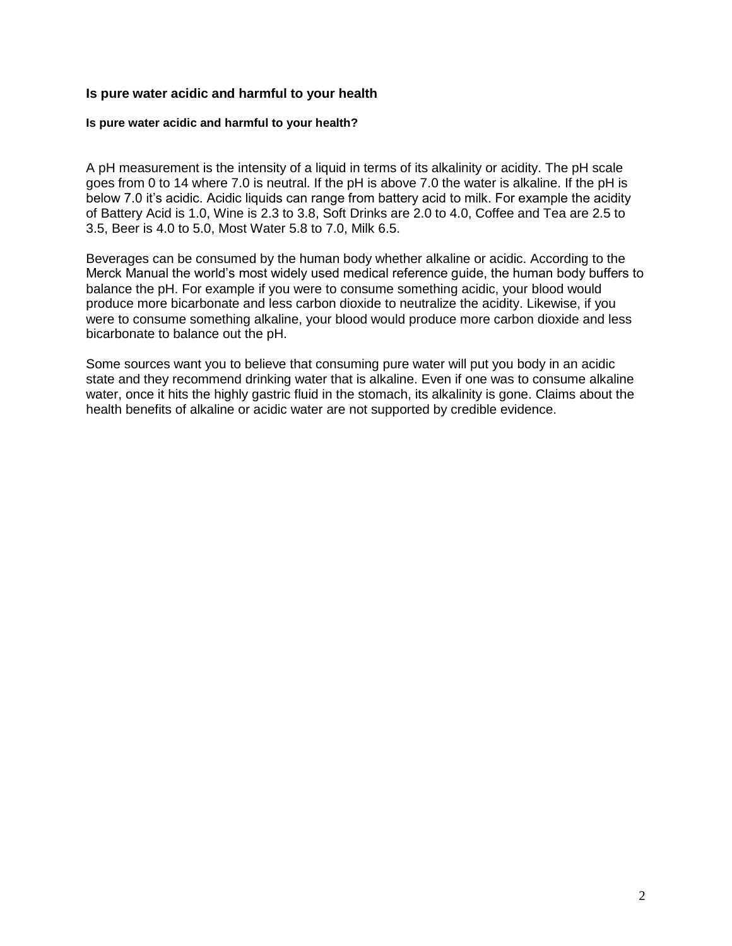## **Is pure water acidic and harmful to your health**

#### **Is pure water acidic and harmful to your health?**

A pH measurement is the intensity of a liquid in terms of its alkalinity or acidity. The pH scale goes from 0 to 14 where 7.0 is neutral. If the pH is above 7.0 the water is alkaline. If the pH is below 7.0 it's acidic. Acidic liquids can range from battery acid to milk. For example the acidity of Battery Acid is 1.0, Wine is 2.3 to 3.8, Soft Drinks are 2.0 to 4.0, Coffee and Tea are 2.5 to 3.5, Beer is 4.0 to 5.0, Most Water 5.8 to 7.0, Milk 6.5.

Beverages can be consumed by the human body whether alkaline or acidic. According to the Merck Manual the world's most widely used medical reference guide, the human body buffers to balance the pH. For example if you were to consume something acidic, your blood would produce more bicarbonate and less carbon dioxide to neutralize the acidity. Likewise, if you were to consume something alkaline, your blood would produce more carbon dioxide and less bicarbonate to balance out the pH.

Some sources want you to believe that consuming pure water will put you body in an acidic state and they recommend drinking water that is alkaline. Even if one was to consume alkaline water, once it hits the highly gastric fluid in the stomach, its alkalinity is gone. Claims about the health benefits of alkaline or acidic water are not supported by credible evidence.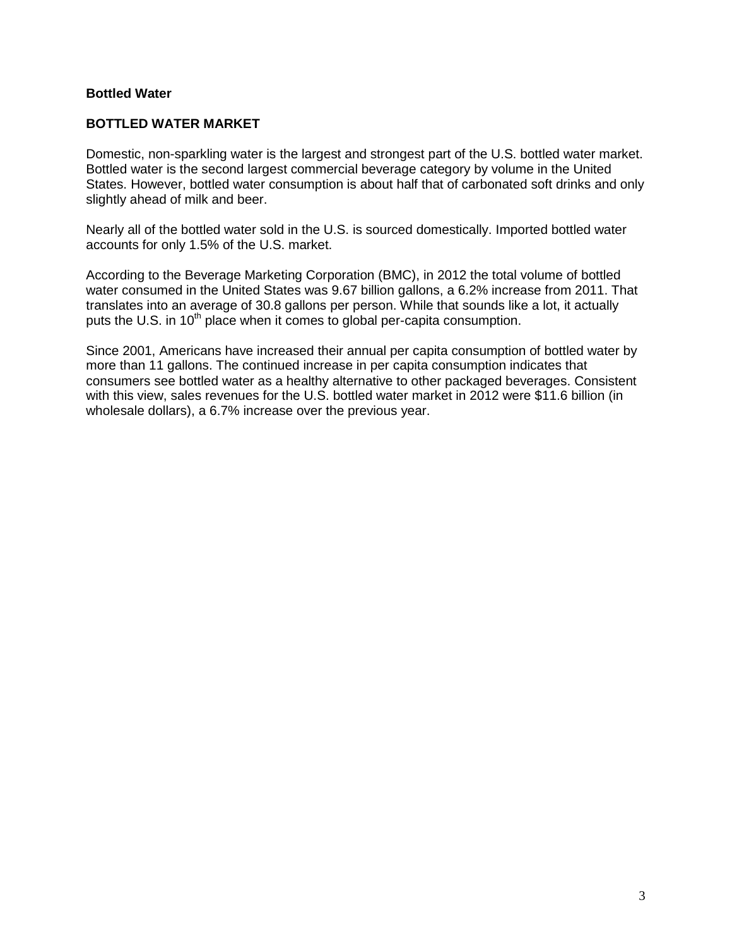# **Bottled Water**

# **BOTTLED WATER MARKET**

Domestic, non-sparkling water is the largest and strongest part of the U.S. bottled water market. Bottled water is the second largest commercial beverage category by volume in the United States. However, bottled water consumption is about half that of carbonated soft drinks and only slightly ahead of milk and beer.

Nearly all of the bottled water sold in the U.S. is sourced domestically. Imported bottled water accounts for only 1.5% of the U.S. market.

According to the Beverage Marketing Corporation (BMC), in 2012 the total volume of bottled water consumed in the United States was 9.67 billion gallons, a 6.2% increase from 2011. That translates into an average of 30.8 gallons per person. While that sounds like a lot, it actually puts the U.S. in  $10<sup>th</sup>$  place when it comes to global per-capita consumption.

Since 2001, Americans have increased their annual per capita consumption of bottled water by more than 11 gallons. The continued increase in per capita consumption indicates that consumers see bottled water as a healthy alternative to other packaged beverages. Consistent with this view, sales revenues for the U.S. bottled water market in 2012 were \$11.6 billion (in wholesale dollars), a 6.7% increase over the previous year.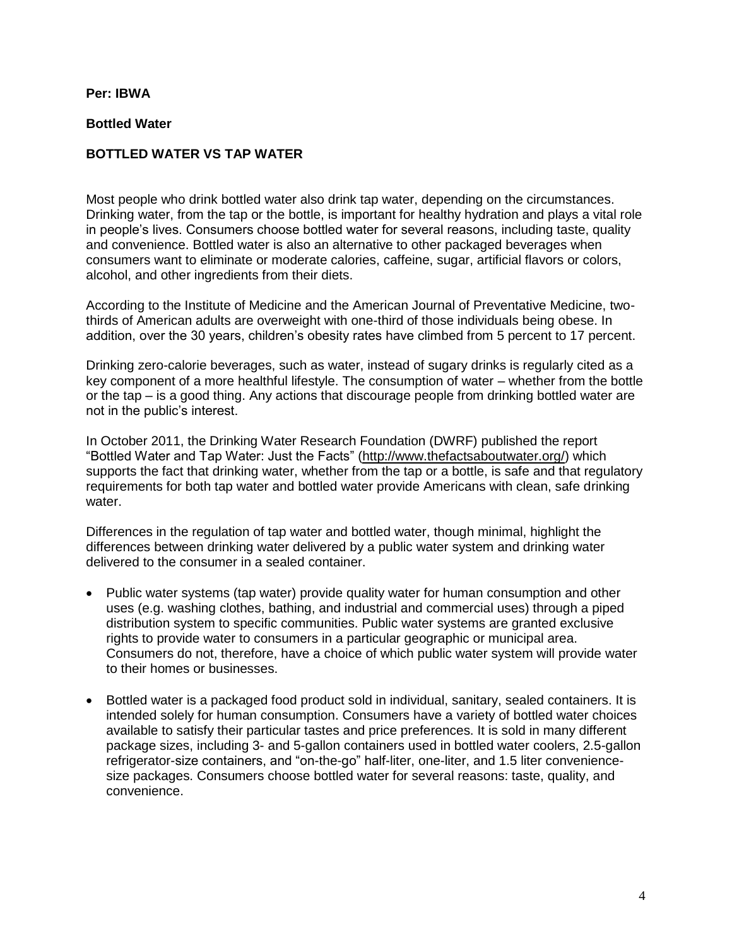## **Per: IBWA**

## **Bottled Water**

## **BOTTLED WATER VS TAP WATER**

Most people who drink bottled water also drink tap water, depending on the circumstances. Drinking water, from the tap or the bottle, is important for healthy hydration and plays a vital role in people's lives. Consumers choose bottled water for several reasons, including taste, quality and convenience. Bottled water is also an alternative to other packaged beverages when consumers want to eliminate or moderate calories, caffeine, sugar, artificial flavors or colors, alcohol, and other ingredients from their diets.

According to the Institute of Medicine and the American Journal of Preventative Medicine, twothirds of American adults are overweight with one-third of those individuals being obese. In addition, over the 30 years, children's obesity rates have climbed from 5 percent to 17 percent.

Drinking zero-calorie beverages, such as water, instead of sugary drinks is regularly cited as a key component of a more healthful lifestyle. The consumption of water – whether from the bottle or the tap – is a good thing. Any actions that discourage people from drinking bottled water are not in the public's interest.

In October 2011, the Drinking Water Research Foundation (DWRF) published the report "Bottled Water and Tap Water: Just the Facts" [\(http://www.thefactsaboutwater.org/\)](http://www.thefactsaboutwater.org/) which supports the fact that drinking water, whether from the tap or a bottle, is safe and that regulatory requirements for both tap water and bottled water provide Americans with clean, safe drinking water.

Differences in the regulation of tap water and bottled water, though minimal, highlight the differences between drinking water delivered by a public water system and drinking water delivered to the consumer in a sealed container.

- Public water systems (tap water) provide quality water for human consumption and other uses (e.g. washing clothes, bathing, and industrial and commercial uses) through a piped distribution system to specific communities. Public water systems are granted exclusive rights to provide water to consumers in a particular geographic or municipal area. Consumers do not, therefore, have a choice of which public water system will provide water to their homes or businesses.
- Bottled water is a packaged food product sold in individual, sanitary, sealed containers. It is intended solely for human consumption. Consumers have a variety of bottled water choices available to satisfy their particular tastes and price preferences. It is sold in many different package sizes, including 3- and 5-gallon containers used in bottled water coolers, 2.5-gallon refrigerator-size containers, and "on-the-go" half-liter, one-liter, and 1.5 liter conveniencesize packages. Consumers choose bottled water for several reasons: taste, quality, and convenience.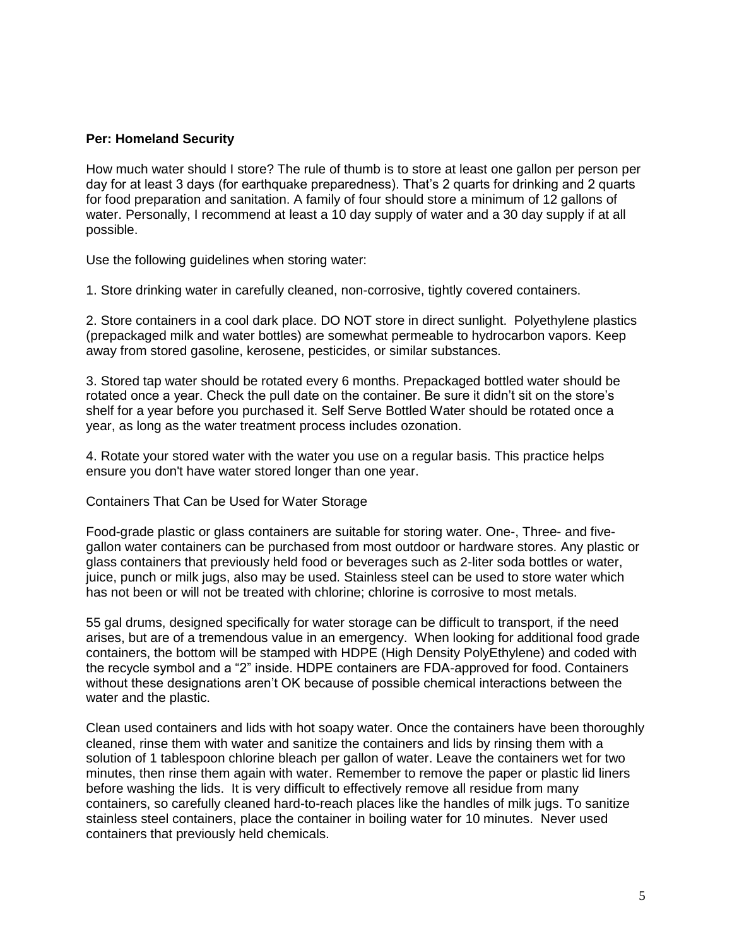## **Per: Homeland Security**

How much water should I store? The rule of thumb is to store at least one gallon per person per day for at least 3 days (for earthquake preparedness). That's 2 quarts for drinking and 2 quarts for food preparation and sanitation. A family of four should store a minimum of 12 gallons of water. Personally, I recommend at least a 10 day supply of water and a 30 day supply if at all possible.

Use the following guidelines when storing water:

1. Store drinking water in carefully cleaned, non-corrosive, tightly covered containers.

2. Store containers in a cool dark place. DO NOT store in direct sunlight. Polyethylene plastics (prepackaged milk and water bottles) are somewhat permeable to hydrocarbon vapors. Keep away from stored gasoline, kerosene, pesticides, or similar substances.

3. Stored tap water should be rotated every 6 months. Prepackaged bottled water should be rotated once a year. Check the pull date on the container. Be sure it didn't sit on the store's shelf for a year before you purchased it. Self Serve Bottled Water should be rotated once a year, as long as the water treatment process includes ozonation.

4. Rotate your stored water with the water you use on a regular basis. This practice helps ensure you don't have water stored longer than one year.

#### Containers That Can be Used for Water Storage

Food-grade plastic or glass containers are suitable for storing water. One-, Three- and fivegallon water containers can be purchased from most outdoor or hardware stores. Any plastic or glass containers that previously held food or beverages such as 2-liter soda bottles or water, juice, punch or milk jugs, also may be used. Stainless steel can be used to store water which has not been or will not be treated with chlorine; chlorine is corrosive to most metals.

55 gal drums, designed specifically for water storage can be difficult to transport, if the need arises, but are of a tremendous value in an emergency. When looking for additional food grade containers, the bottom will be stamped with HDPE (High Density PolyEthylene) and coded with the recycle symbol and a "2" inside. HDPE containers are FDA-approved for food. Containers without these designations aren't OK because of possible chemical interactions between the water and the plastic.

Clean used containers and lids with hot soapy water. Once the containers have been thoroughly cleaned, rinse them with water and sanitize the containers and lids by rinsing them with a solution of 1 tablespoon chlorine bleach per gallon of water. Leave the containers wet for two minutes, then rinse them again with water. Remember to remove the paper or plastic lid liners before washing the lids. It is very difficult to effectively remove all residue from many containers, so carefully cleaned hard-to-reach places like the handles of milk jugs. To sanitize stainless steel containers, place the container in boiling water for 10 minutes. Never used containers that previously held chemicals.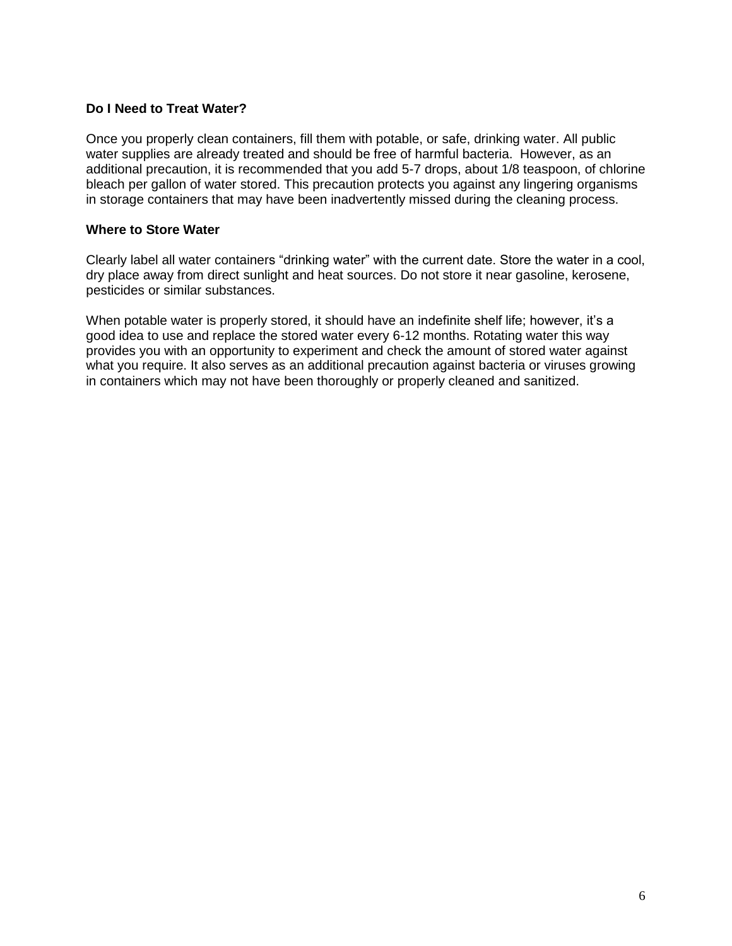## **Do I Need to Treat Water?**

Once you properly clean containers, fill them with potable, or safe, drinking water. All public water supplies are already treated and should be free of harmful bacteria. However, as an additional precaution, it is recommended that you add 5-7 drops, about 1/8 teaspoon, of chlorine bleach per gallon of water stored. This precaution protects you against any lingering organisms in storage containers that may have been inadvertently missed during the cleaning process.

## **Where to Store Water**

Clearly label all water containers "drinking water" with the current date. Store the water in a cool, dry place away from direct sunlight and heat sources. Do not store it near gasoline, kerosene, pesticides or similar substances.

When potable water is properly stored, it should have an indefinite shelf life; however, it's a good idea to use and replace the stored water every 6-12 months. Rotating water this way provides you with an opportunity to experiment and check the amount of stored water against what you require. It also serves as an additional precaution against bacteria or viruses growing in containers which may not have been thoroughly or properly cleaned and sanitized.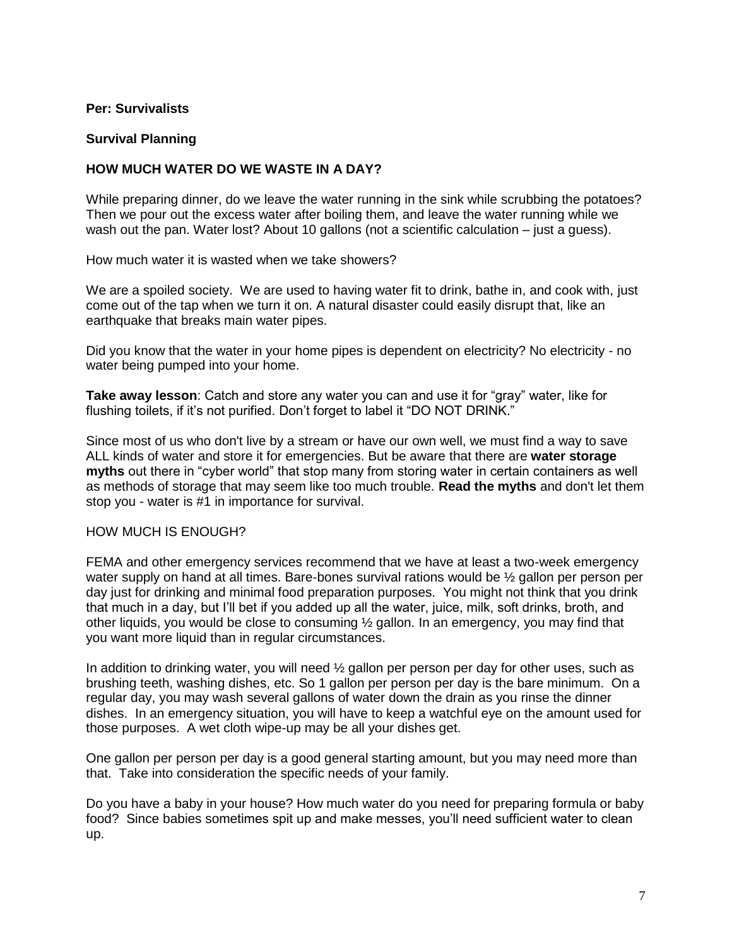## **Per: Survivalists**

## **Survival Planning**

## **HOW MUCH WATER DO WE WASTE IN A DAY?**

While preparing dinner, do we leave the water running in the sink while scrubbing the potatoes? Then we pour out the excess water after boiling them, and leave the water running while we wash out the pan. Water lost? About 10 gallons (not a scientific calculation – just a guess).

How much water it is wasted when we take showers?

We are a spoiled society. We are used to having water fit to drink, bathe in, and cook with, just come out of the tap when we turn it on. A natural disaster could easily disrupt that, like an earthquake that breaks main water pipes.

Did you know that the water in your home pipes is dependent on electricity? No electricity - no water being pumped into your home.

**Take away lesson**: Catch and store any water you can and use it for "gray" water, like for flushing toilets, if it's not purified. Don't forget to label it "DO NOT DRINK."

Since most of us who don't live by a stream or have our own well, we must find a way to save ALL kinds of water and store it for emergencies. But be aware that there are **water storage myths** out there in "cyber world" that stop many from storing water in certain containers as well as methods of storage that may seem like too much trouble. **Read the myths** and don't let them stop you - water is #1 in importance for survival.

#### HOW MUCH IS ENOUGH?

FEMA and other emergency services recommend that we have at least a two-week emergency water supply on hand at all times. Bare-bones survival rations would be ½ gallon per person per day just for drinking and minimal food preparation purposes. You might not think that you drink that much in a day, but I'll bet if you added up all the water, juice, milk, soft drinks, broth, and other liquids, you would be close to consuming  $\frac{1}{2}$  gallon. In an emergency, you may find that you want more liquid than in regular circumstances.

In addition to drinking water, you will need  $\frac{1}{2}$  gallon per person per day for other uses, such as brushing teeth, washing dishes, etc. So 1 gallon per person per day is the bare minimum. On a regular day, you may wash several gallons of water down the drain as you rinse the dinner dishes. In an emergency situation, you will have to keep a watchful eye on the amount used for those purposes. A wet cloth wipe-up may be all your dishes get.

One gallon per person per day is a good general starting amount, but you may need more than that. Take into consideration the specific needs of your family.

Do you have a baby in your house? How much water do you need for preparing formula or baby food? Since babies sometimes spit up and make messes, you'll need sufficient water to clean up.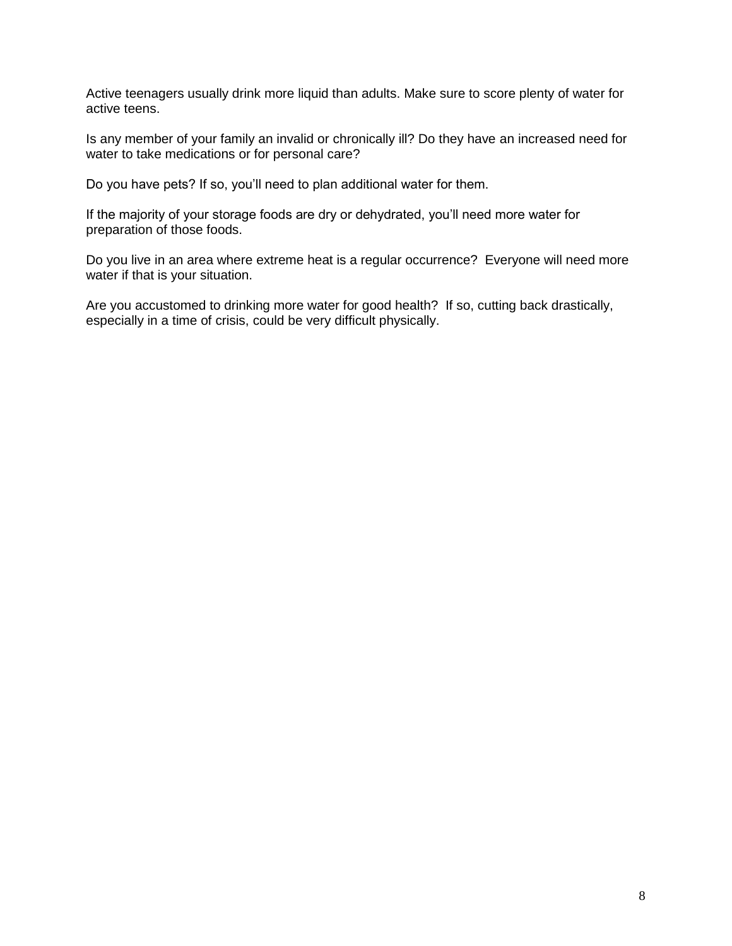Active teenagers usually drink more liquid than adults. Make sure to score plenty of water for active teens.

Is any member of your family an invalid or chronically ill? Do they have an increased need for water to take medications or for personal care?

Do you have pets? If so, you'll need to plan additional water for them.

If the majority of your storage foods are dry or dehydrated, you'll need more water for preparation of those foods.

Do you live in an area where extreme heat is a regular occurrence? Everyone will need more water if that is your situation.

Are you accustomed to drinking more water for good health? If so, cutting back drastically, especially in a time of crisis, could be very difficult physically.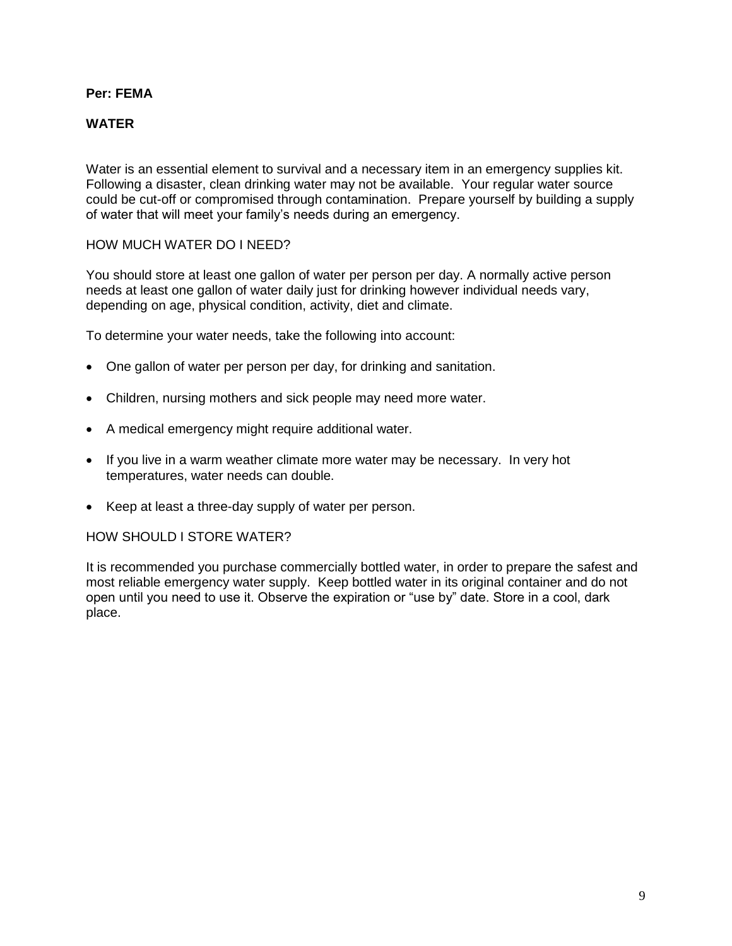# **Per: FEMA**

# **WATER**

Water is an essential element to survival and a necessary item in an emergency supplies kit. Following a disaster, clean drinking water may not be available. Your regular water source could be cut-off or compromised through contamination. Prepare yourself by building a supply of water that will meet your family's needs during an emergency.

## HOW MUCH WATER DO I NEED?

You should store at least one gallon of water per person per day. A normally active person needs at least one gallon of water daily just for drinking however individual needs vary, depending on age, physical condition, activity, diet and climate.

To determine your water needs, take the following into account:

- One gallon of water per person per day, for drinking and sanitation.
- Children, nursing mothers and sick people may need more water.
- A medical emergency might require additional water.
- If you live in a warm weather climate more water may be necessary. In very hot temperatures, water needs can double.
- Keep at least a three-day supply of water per person.

#### HOW SHOULD LSTORE WATER?

It is recommended you purchase commercially bottled water, in order to prepare the safest and most reliable emergency water supply. Keep bottled water in its original container and do not open until you need to use it. Observe the expiration or "use by" date. Store in a cool, dark place.